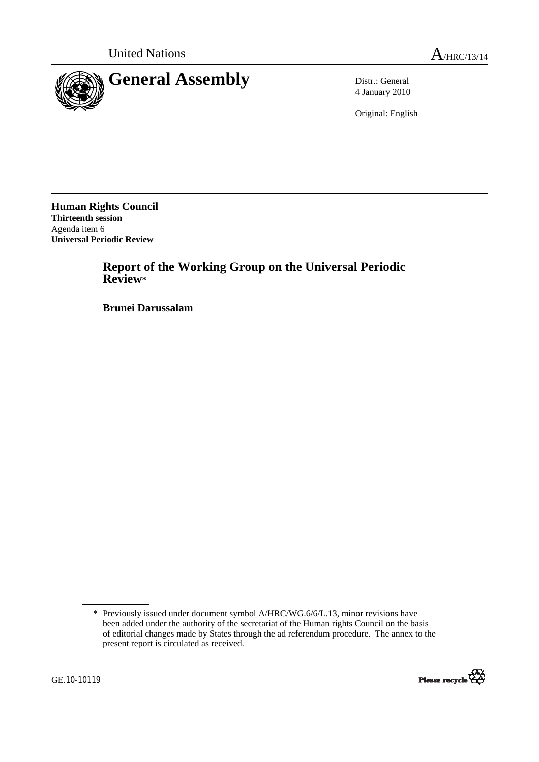

4 January 2010

Original: English

**Human Rights Council Thirteenth session**  Agenda item 6 **Universal Periodic Review** 

# **Report of the Working Group on the Universal Periodic Review\***

 **Brunei Darussalam** 

<sup>\*</sup> Previously issued under document symbol A/HRC/WG.6/6/L.13, minor revisions have been added under the authority of the secretariat of the Human rights Council on the basis of editorial changes made by States through the ad referendum procedure. The annex to the present report is circulated as received.

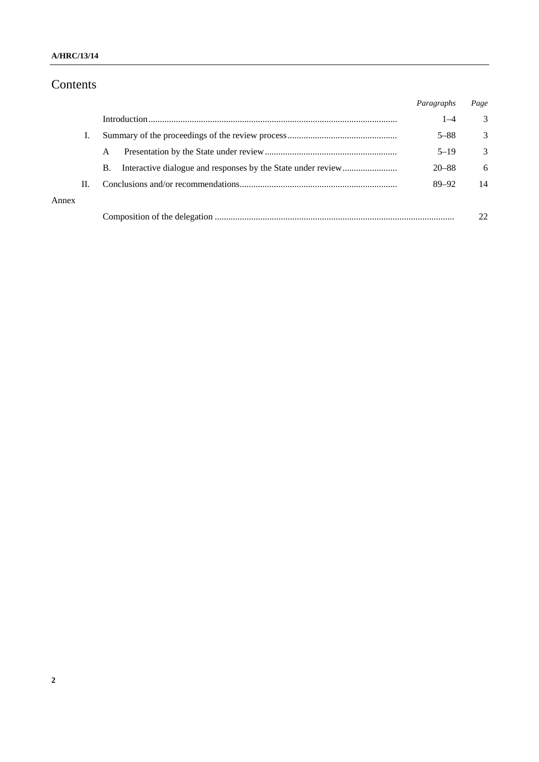### **A/HRC/13/14**

# Contents

|       |    |    | Paragraphs | Page |
|-------|----|----|------------|------|
|       |    |    | $1 - 4$    | 3    |
|       |    |    | $5 - 88$   | 3    |
|       |    | A  | $5 - 19$   | 3    |
|       |    | В. | $20 - 88$  | 6    |
|       | П. |    | $89 - 92$  | 14   |
| Annex |    |    |            |      |
|       |    |    |            | 22   |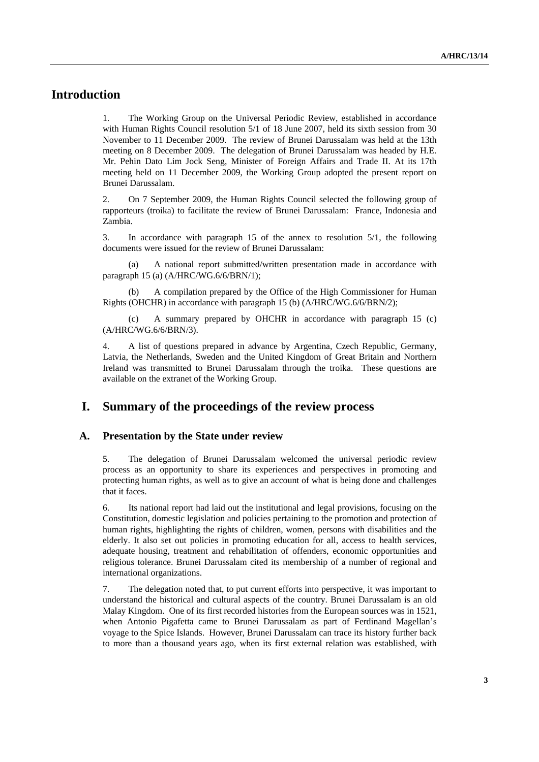# **Introduction**

1. The Working Group on the Universal Periodic Review, established in accordance with Human Rights Council resolution 5/1 of 18 June 2007, held its sixth session from 30 November to 11 December 2009. The review of Brunei Darussalam was held at the 13th meeting on 8 December 2009. The delegation of Brunei Darussalam was headed by H.E. Mr. Pehin Dato Lim Jock Seng, Minister of Foreign Affairs and Trade II. At its 17th meeting held on 11 December 2009, the Working Group adopted the present report on Brunei Darussalam.

2. On 7 September 2009, the Human Rights Council selected the following group of rapporteurs (troika) to facilitate the review of Brunei Darussalam: France, Indonesia and Zambia.

3. In accordance with paragraph 15 of the annex to resolution 5/1, the following documents were issued for the review of Brunei Darussalam:

 (a) A national report submitted/written presentation made in accordance with paragraph 15 (a) (A/HRC/WG.6/6/BRN/1);

 (b) A compilation prepared by the Office of the High Commissioner for Human Rights (OHCHR) in accordance with paragraph 15 (b) (A/HRC/WG.6/6/BRN/2);

 (c) A summary prepared by OHCHR in accordance with paragraph 15 (c) (A/HRC/WG.6/6/BRN/3).

4. A list of questions prepared in advance by Argentina, Czech Republic, Germany, Latvia, the Netherlands, Sweden and the United Kingdom of Great Britain and Northern Ireland was transmitted to Brunei Darussalam through the troika. These questions are available on the extranet of the Working Group.

## **I. Summary of the proceedings of the review process**

#### **A. Presentation by the State under review**

5. The delegation of Brunei Darussalam welcomed the universal periodic review process as an opportunity to share its experiences and perspectives in promoting and protecting human rights, as well as to give an account of what is being done and challenges that it faces.

6. Its national report had laid out the institutional and legal provisions, focusing on the Constitution, domestic legislation and policies pertaining to the promotion and protection of human rights, highlighting the rights of children, women, persons with disabilities and the elderly. It also set out policies in promoting education for all, access to health services, adequate housing, treatment and rehabilitation of offenders, economic opportunities and religious tolerance. Brunei Darussalam cited its membership of a number of regional and international organizations.

7. The delegation noted that, to put current efforts into perspective, it was important to understand the historical and cultural aspects of the country. Brunei Darussalam is an old Malay Kingdom. One of its first recorded histories from the European sources was in 1521, when Antonio Pigafetta came to Brunei Darussalam as part of Ferdinand Magellan's voyage to the Spice Islands. However, Brunei Darussalam can trace its history further back to more than a thousand years ago, when its first external relation was established, with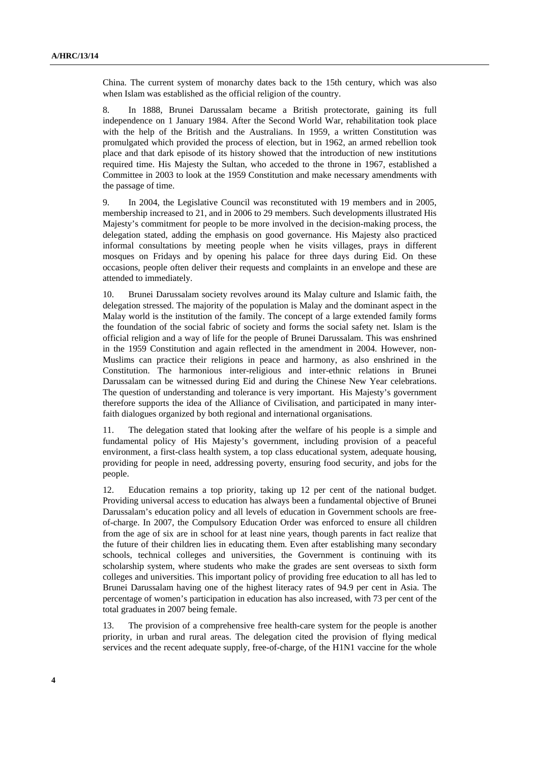China. The current system of monarchy dates back to the 15th century, which was also when Islam was established as the official religion of the country.

8. In 1888, Brunei Darussalam became a British protectorate, gaining its full independence on 1 January 1984. After the Second World War, rehabilitation took place with the help of the British and the Australians. In 1959, a written Constitution was promulgated which provided the process of election, but in 1962, an armed rebellion took place and that dark episode of its history showed that the introduction of new institutions required time. His Majesty the Sultan, who acceded to the throne in 1967, established a Committee in 2003 to look at the 1959 Constitution and make necessary amendments with the passage of time.

9. In 2004, the Legislative Council was reconstituted with 19 members and in 2005, membership increased to 21, and in 2006 to 29 members. Such developments illustrated His Majesty's commitment for people to be more involved in the decision-making process, the delegation stated, adding the emphasis on good governance. His Majesty also practiced informal consultations by meeting people when he visits villages, prays in different mosques on Fridays and by opening his palace for three days during Eid. On these occasions, people often deliver their requests and complaints in an envelope and these are attended to immediately.

10. Brunei Darussalam society revolves around its Malay culture and Islamic faith, the delegation stressed. The majority of the population is Malay and the dominant aspect in the Malay world is the institution of the family. The concept of a large extended family forms the foundation of the social fabric of society and forms the social safety net. Islam is the official religion and a way of life for the people of Brunei Darussalam. This was enshrined in the 1959 Constitution and again reflected in the amendment in 2004. However, non-Muslims can practice their religions in peace and harmony, as also enshrined in the Constitution. The harmonious inter-religious and inter-ethnic relations in Brunei Darussalam can be witnessed during Eid and during the Chinese New Year celebrations. The question of understanding and tolerance is very important. His Majesty's government therefore supports the idea of the Alliance of Civilisation, and participated in many interfaith dialogues organized by both regional and international organisations.

11. The delegation stated that looking after the welfare of his people is a simple and fundamental policy of His Majesty's government, including provision of a peaceful environment, a first-class health system, a top class educational system, adequate housing, providing for people in need, addressing poverty, ensuring food security, and jobs for the people.

12. Education remains a top priority, taking up 12 per cent of the national budget. Providing universal access to education has always been a fundamental objective of Brunei Darussalam's education policy and all levels of education in Government schools are freeof-charge. In 2007, the Compulsory Education Order was enforced to ensure all children from the age of six are in school for at least nine years, though parents in fact realize that the future of their children lies in educating them. Even after establishing many secondary schools, technical colleges and universities, the Government is continuing with its scholarship system, where students who make the grades are sent overseas to sixth form colleges and universities. This important policy of providing free education to all has led to Brunei Darussalam having one of the highest literacy rates of 94.9 per cent in Asia. The percentage of women's participation in education has also increased, with 73 per cent of the total graduates in 2007 being female.

13. The provision of a comprehensive free health-care system for the people is another priority, in urban and rural areas. The delegation cited the provision of flying medical services and the recent adequate supply, free-of-charge, of the H1N1 vaccine for the whole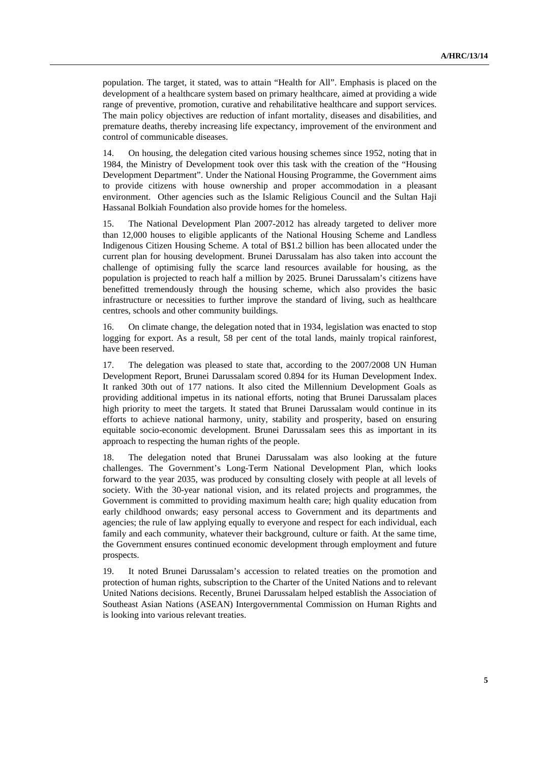population. The target, it stated, was to attain "Health for All". Emphasis is placed on the development of a healthcare system based on primary healthcare, aimed at providing a wide range of preventive, promotion, curative and rehabilitative healthcare and support services. The main policy objectives are reduction of infant mortality, diseases and disabilities, and premature deaths, thereby increasing life expectancy, improvement of the environment and control of communicable diseases.

14. On housing, the delegation cited various housing schemes since 1952, noting that in 1984, the Ministry of Development took over this task with the creation of the "Housing Development Department". Under the National Housing Programme, the Government aims to provide citizens with house ownership and proper accommodation in a pleasant environment. Other agencies such as the Islamic Religious Council and the Sultan Haji Hassanal Bolkiah Foundation also provide homes for the homeless.

15. The National Development Plan 2007-2012 has already targeted to deliver more than 12,000 houses to eligible applicants of the National Housing Scheme and Landless Indigenous Citizen Housing Scheme. A total of B\$1.2 billion has been allocated under the current plan for housing development. Brunei Darussalam has also taken into account the challenge of optimising fully the scarce land resources available for housing, as the population is projected to reach half a million by 2025. Brunei Darussalam's citizens have benefitted tremendously through the housing scheme, which also provides the basic infrastructure or necessities to further improve the standard of living, such as healthcare centres, schools and other community buildings.

16. On climate change, the delegation noted that in 1934, legislation was enacted to stop logging for export. As a result, 58 per cent of the total lands, mainly tropical rainforest, have been reserved.

17. The delegation was pleased to state that, according to the 2007/2008 UN Human Development Report, Brunei Darussalam scored 0.894 for its Human Development Index. It ranked 30th out of 177 nations. It also cited the Millennium Development Goals as providing additional impetus in its national efforts, noting that Brunei Darussalam places high priority to meet the targets. It stated that Brunei Darussalam would continue in its efforts to achieve national harmony, unity, stability and prosperity, based on ensuring equitable socio-economic development. Brunei Darussalam sees this as important in its approach to respecting the human rights of the people.

18. The delegation noted that Brunei Darussalam was also looking at the future challenges. The Government's Long-Term National Development Plan, which looks forward to the year 2035, was produced by consulting closely with people at all levels of society. With the 30-year national vision, and its related projects and programmes, the Government is committed to providing maximum health care; high quality education from early childhood onwards; easy personal access to Government and its departments and agencies; the rule of law applying equally to everyone and respect for each individual, each family and each community, whatever their background, culture or faith. At the same time, the Government ensures continued economic development through employment and future prospects.

19. It noted Brunei Darussalam's accession to related treaties on the promotion and protection of human rights, subscription to the Charter of the United Nations and to relevant United Nations decisions. Recently, Brunei Darussalam helped establish the Association of Southeast Asian Nations (ASEAN) Intergovernmental Commission on Human Rights and is looking into various relevant treaties.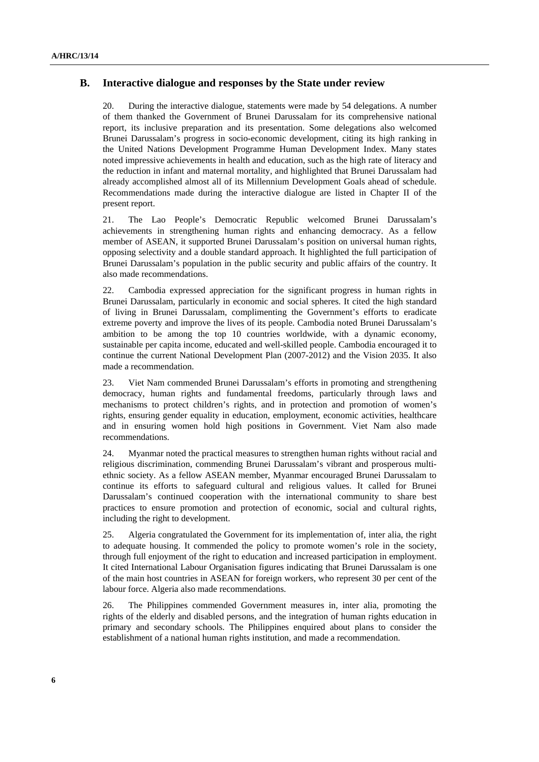### **B. Interactive dialogue and responses by the State under review**

20. During the interactive dialogue, statements were made by 54 delegations. A number of them thanked the Government of Brunei Darussalam for its comprehensive national report, its inclusive preparation and its presentation. Some delegations also welcomed Brunei Darussalam's progress in socio-economic development, citing its high ranking in the United Nations Development Programme Human Development Index. Many states noted impressive achievements in health and education, such as the high rate of literacy and the reduction in infant and maternal mortality, and highlighted that Brunei Darussalam had already accomplished almost all of its Millennium Development Goals ahead of schedule. Recommendations made during the interactive dialogue are listed in Chapter II of the present report.

21. The Lao People's Democratic Republic welcomed Brunei Darussalam's achievements in strengthening human rights and enhancing democracy. As a fellow member of ASEAN, it supported Brunei Darussalam's position on universal human rights, opposing selectivity and a double standard approach. It highlighted the full participation of Brunei Darussalam's population in the public security and public affairs of the country. It also made recommendations.

22. Cambodia expressed appreciation for the significant progress in human rights in Brunei Darussalam, particularly in economic and social spheres. It cited the high standard of living in Brunei Darussalam, complimenting the Government's efforts to eradicate extreme poverty and improve the lives of its people. Cambodia noted Brunei Darussalam's ambition to be among the top 10 countries worldwide, with a dynamic economy, sustainable per capita income, educated and well-skilled people. Cambodia encouraged it to continue the current National Development Plan (2007-2012) and the Vision 2035. It also made a recommendation.

23. Viet Nam commended Brunei Darussalam's efforts in promoting and strengthening democracy, human rights and fundamental freedoms, particularly through laws and mechanisms to protect children's rights, and in protection and promotion of women's rights, ensuring gender equality in education, employment, economic activities, healthcare and in ensuring women hold high positions in Government. Viet Nam also made recommendations.

24. Myanmar noted the practical measures to strengthen human rights without racial and religious discrimination, commending Brunei Darussalam's vibrant and prosperous multiethnic society. As a fellow ASEAN member, Myanmar encouraged Brunei Darussalam to continue its efforts to safeguard cultural and religious values. It called for Brunei Darussalam's continued cooperation with the international community to share best practices to ensure promotion and protection of economic, social and cultural rights, including the right to development.

25. Algeria congratulated the Government for its implementation of, inter alia, the right to adequate housing. It commended the policy to promote women's role in the society, through full enjoyment of the right to education and increased participation in employment. It cited International Labour Organisation figures indicating that Brunei Darussalam is one of the main host countries in ASEAN for foreign workers, who represent 30 per cent of the labour force. Algeria also made recommendations.

26. The Philippines commended Government measures in, inter alia, promoting the rights of the elderly and disabled persons, and the integration of human rights education in primary and secondary schools. The Philippines enquired about plans to consider the establishment of a national human rights institution, and made a recommendation.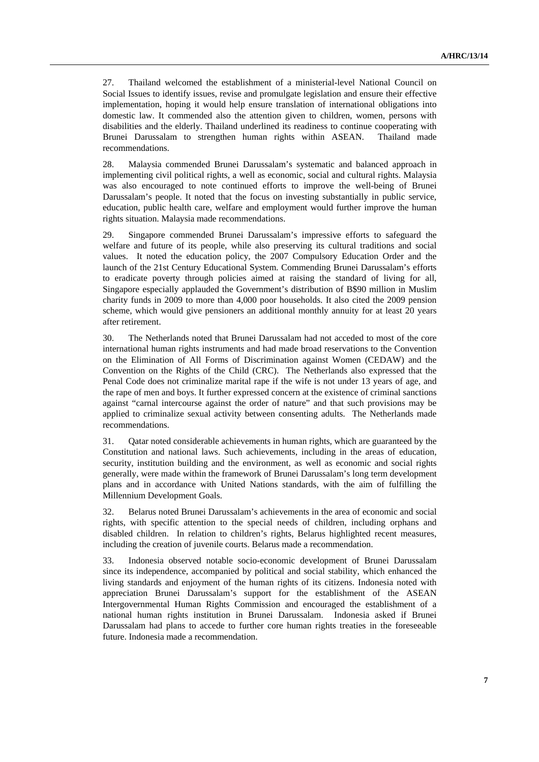27. Thailand welcomed the establishment of a ministerial-level National Council on Social Issues to identify issues, revise and promulgate legislation and ensure their effective implementation, hoping it would help ensure translation of international obligations into domestic law. It commended also the attention given to children, women, persons with disabilities and the elderly. Thailand underlined its readiness to continue cooperating with Brunei Darussalam to strengthen human rights within ASEAN. Thailand made recommendations.

28. Malaysia commended Brunei Darussalam's systematic and balanced approach in implementing civil political rights, a well as economic, social and cultural rights. Malaysia was also encouraged to note continued efforts to improve the well-being of Brunei Darussalam's people. It noted that the focus on investing substantially in public service, education, public health care, welfare and employment would further improve the human rights situation. Malaysia made recommendations.

29. Singapore commended Brunei Darussalam's impressive efforts to safeguard the welfare and future of its people, while also preserving its cultural traditions and social values. It noted the education policy, the 2007 Compulsory Education Order and the launch of the 21st Century Educational System. Commending Brunei Darussalam's efforts to eradicate poverty through policies aimed at raising the standard of living for all, Singapore especially applauded the Government's distribution of B\$90 million in Muslim charity funds in 2009 to more than 4,000 poor households. It also cited the 2009 pension scheme, which would give pensioners an additional monthly annuity for at least 20 years after retirement.

30. The Netherlands noted that Brunei Darussalam had not acceded to most of the core international human rights instruments and had made broad reservations to the Convention on the Elimination of All Forms of Discrimination against Women (CEDAW) and the Convention on the Rights of the Child (CRC). The Netherlands also expressed that the Penal Code does not criminalize marital rape if the wife is not under 13 years of age, and the rape of men and boys. It further expressed concern at the existence of criminal sanctions against "carnal intercourse against the order of nature" and that such provisions may be applied to criminalize sexual activity between consenting adults. The Netherlands made recommendations.

31. Qatar noted considerable achievements in human rights, which are guaranteed by the Constitution and national laws. Such achievements, including in the areas of education, security, institution building and the environment, as well as economic and social rights generally, were made within the framework of Brunei Darussalam's long term development plans and in accordance with United Nations standards, with the aim of fulfilling the Millennium Development Goals.

32. Belarus noted Brunei Darussalam's achievements in the area of economic and social rights, with specific attention to the special needs of children, including orphans and disabled children. In relation to children's rights, Belarus highlighted recent measures, including the creation of juvenile courts. Belarus made a recommendation.

33. Indonesia observed notable socio-economic development of Brunei Darussalam since its independence, accompanied by political and social stability, which enhanced the living standards and enjoyment of the human rights of its citizens. Indonesia noted with appreciation Brunei Darussalam's support for the establishment of the ASEAN Intergovernmental Human Rights Commission and encouraged the establishment of a national human rights institution in Brunei Darussalam. Indonesia asked if Brunei Darussalam had plans to accede to further core human rights treaties in the foreseeable future. Indonesia made a recommendation.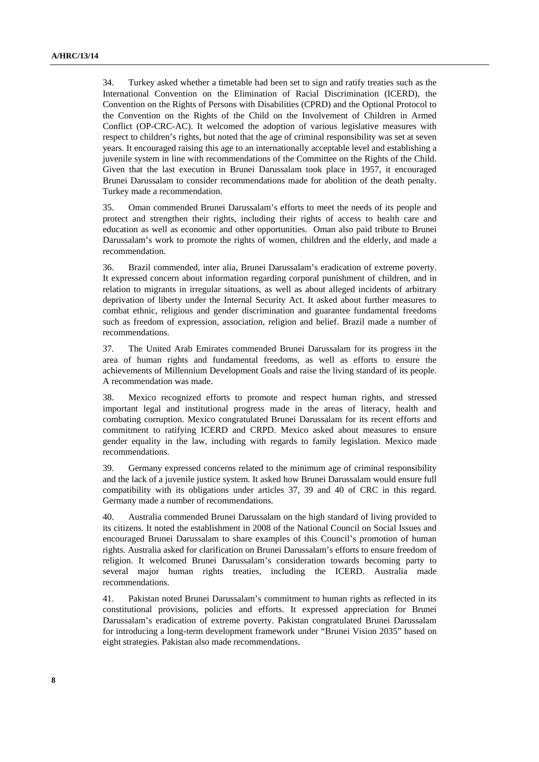34. Turkey asked whether a timetable had been set to sign and ratify treaties such as the International Convention on the Elimination of Racial Discrimination (ICERD), the Convention on the Rights of Persons with Disabilities (CPRD) and the Optional Protocol to the Convention on the Rights of the Child on the Involvement of Children in Armed Conflict (OP-CRC-AC). It welcomed the adoption of various legislative measures with respect to children's rights, but noted that the age of criminal responsibility was set at seven years. It encouraged raising this age to an internationally acceptable level and establishing a juvenile system in line with recommendations of the Committee on the Rights of the Child. Given that the last execution in Brunei Darussalam took place in 1957, it encouraged Brunei Darussalam to consider recommendations made for abolition of the death penalty. Turkey made a recommendation.

35. Oman commended Brunei Darussalam's efforts to meet the needs of its people and protect and strengthen their rights, including their rights of access to health care and education as well as economic and other opportunities. Oman also paid tribute to Brunei Darussalam's work to promote the rights of women, children and the elderly, and made a recommendation.

36. Brazil commended, inter alia, Brunei Darussalam's eradication of extreme poverty. It expressed concern about information regarding corporal punishment of children, and in relation to migrants in irregular situations, as well as about alleged incidents of arbitrary deprivation of liberty under the Internal Security Act. It asked about further measures to combat ethnic, religious and gender discrimination and guarantee fundamental freedoms such as freedom of expression, association, religion and belief. Brazil made a number of recommendations.

37. The United Arab Emirates commended Brunei Darussalam for its progress in the area of human rights and fundamental freedoms, as well as efforts to ensure the achievements of Millennium Development Goals and raise the living standard of its people. A recommendation was made.

38. Mexico recognized efforts to promote and respect human rights, and stressed important legal and institutional progress made in the areas of literacy, health and combating corruption. Mexico congratulated Brunei Darussalam for its recent efforts and commitment to ratifying ICERD and CRPD. Mexico asked about measures to ensure gender equality in the law, including with regards to family legislation. Mexico made recommendations.

39. Germany expressed concerns related to the minimum age of criminal responsibility and the lack of a juvenile justice system. It asked how Brunei Darussalam would ensure full compatibility with its obligations under articles 37, 39 and 40 of CRC in this regard. Germany made a number of recommendations.

40. Australia commended Brunei Darussalam on the high standard of living provided to its citizens. It noted the establishment in 2008 of the National Council on Social Issues and encouraged Brunei Darussalam to share examples of this Council's promotion of human rights. Australia asked for clarification on Brunei Darussalam's efforts to ensure freedom of religion. It welcomed Brunei Darussalam's consideration towards becoming party to several major human rights treaties, including the ICERD. Australia made recommendations.

41. Pakistan noted Brunei Darussalam's commitment to human rights as reflected in its constitutional provisions, policies and efforts. It expressed appreciation for Brunei Darussalam's eradication of extreme poverty. Pakistan congratulated Brunei Darussalam for introducing a long-term development framework under "Brunei Vision 2035" based on eight strategies. Pakistan also made recommendations.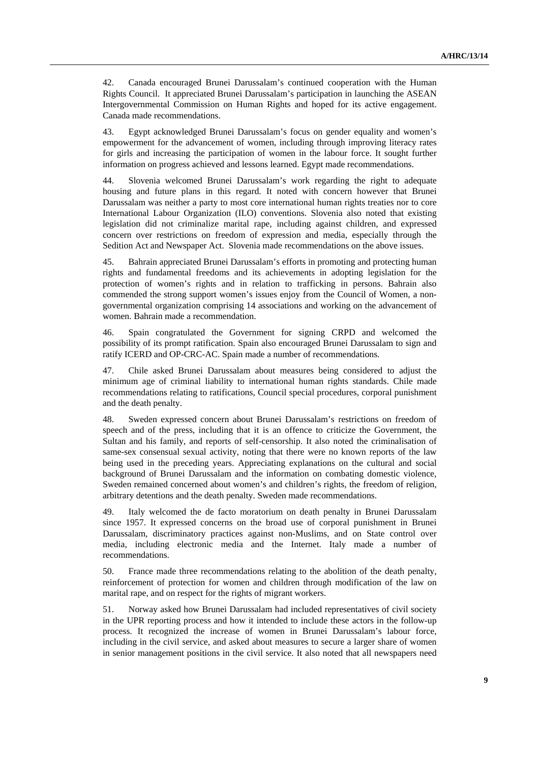42. Canada encouraged Brunei Darussalam's continued cooperation with the Human Rights Council. It appreciated Brunei Darussalam's participation in launching the ASEAN Intergovernmental Commission on Human Rights and hoped for its active engagement. Canada made recommendations.

43. Egypt acknowledged Brunei Darussalam's focus on gender equality and women's empowerment for the advancement of women, including through improving literacy rates for girls and increasing the participation of women in the labour force. It sought further information on progress achieved and lessons learned. Egypt made recommendations.

44. Slovenia welcomed Brunei Darussalam's work regarding the right to adequate housing and future plans in this regard. It noted with concern however that Brunei Darussalam was neither a party to most core international human rights treaties nor to core International Labour Organization (ILO) conventions. Slovenia also noted that existing legislation did not criminalize marital rape, including against children, and expressed concern over restrictions on freedom of expression and media, especially through the Sedition Act and Newspaper Act. Slovenia made recommendations on the above issues.

45. Bahrain appreciated Brunei Darussalam's efforts in promoting and protecting human rights and fundamental freedoms and its achievements in adopting legislation for the protection of women's rights and in relation to trafficking in persons. Bahrain also commended the strong support women's issues enjoy from the Council of Women, a nongovernmental organization comprising 14 associations and working on the advancement of women. Bahrain made a recommendation.

46. Spain congratulated the Government for signing CRPD and welcomed the possibility of its prompt ratification. Spain also encouraged Brunei Darussalam to sign and ratify ICERD and OP-CRC-AC. Spain made a number of recommendations.

47. Chile asked Brunei Darussalam about measures being considered to adjust the minimum age of criminal liability to international human rights standards. Chile made recommendations relating to ratifications, Council special procedures, corporal punishment and the death penalty.

48. Sweden expressed concern about Brunei Darussalam's restrictions on freedom of speech and of the press, including that it is an offence to criticize the Government, the Sultan and his family, and reports of self-censorship. It also noted the criminalisation of same-sex consensual sexual activity, noting that there were no known reports of the law being used in the preceding years. Appreciating explanations on the cultural and social background of Brunei Darussalam and the information on combating domestic violence, Sweden remained concerned about women's and children's rights, the freedom of religion, arbitrary detentions and the death penalty. Sweden made recommendations.

49. Italy welcomed the de facto moratorium on death penalty in Brunei Darussalam since 1957. It expressed concerns on the broad use of corporal punishment in Brunei Darussalam, discriminatory practices against non-Muslims, and on State control over media, including electronic media and the Internet. Italy made a number of recommendations.

50. France made three recommendations relating to the abolition of the death penalty, reinforcement of protection for women and children through modification of the law on marital rape, and on respect for the rights of migrant workers.

51. Norway asked how Brunei Darussalam had included representatives of civil society in the UPR reporting process and how it intended to include these actors in the follow-up process. It recognized the increase of women in Brunei Darussalam's labour force, including in the civil service, and asked about measures to secure a larger share of women in senior management positions in the civil service. It also noted that all newspapers need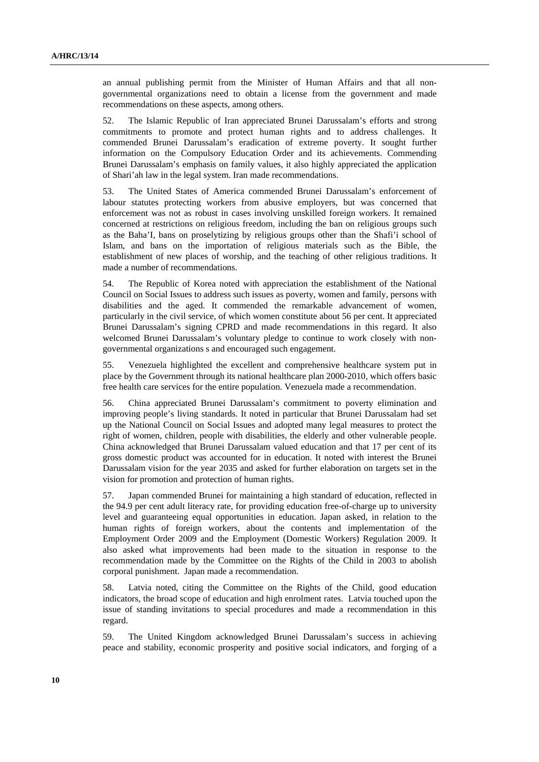an annual publishing permit from the Minister of Human Affairs and that all nongovernmental organizations need to obtain a license from the government and made recommendations on these aspects, among others.

52. The Islamic Republic of Iran appreciated Brunei Darussalam's efforts and strong commitments to promote and protect human rights and to address challenges. It commended Brunei Darussalam's eradication of extreme poverty. It sought further information on the Compulsory Education Order and its achievements. Commending Brunei Darussalam's emphasis on family values, it also highly appreciated the application of Shari'ah law in the legal system. Iran made recommendations.

53. The United States of America commended Brunei Darussalam's enforcement of labour statutes protecting workers from abusive employers, but was concerned that enforcement was not as robust in cases involving unskilled foreign workers. It remained concerned at restrictions on religious freedom, including the ban on religious groups such as the Baha'I, bans on proselytizing by religious groups other than the Shafi'i school of Islam, and bans on the importation of religious materials such as the Bible, the establishment of new places of worship, and the teaching of other religious traditions. It made a number of recommendations.

54. The Republic of Korea noted with appreciation the establishment of the National Council on Social Issues to address such issues as poverty, women and family, persons with disabilities and the aged. It commended the remarkable advancement of women, particularly in the civil service, of which women constitute about 56 per cent. It appreciated Brunei Darussalam's signing CPRD and made recommendations in this regard. It also welcomed Brunei Darussalam's voluntary pledge to continue to work closely with nongovernmental organizations s and encouraged such engagement.

55. Venezuela highlighted the excellent and comprehensive healthcare system put in place by the Government through its national healthcare plan 2000-2010, which offers basic free health care services for the entire population. Venezuela made a recommendation.

56. China appreciated Brunei Darussalam's commitment to poverty elimination and improving people's living standards. It noted in particular that Brunei Darussalam had set up the National Council on Social Issues and adopted many legal measures to protect the right of women, children, people with disabilities, the elderly and other vulnerable people. China acknowledged that Brunei Darussalam valued education and that 17 per cent of its gross domestic product was accounted for in education. It noted with interest the Brunei Darussalam vision for the year 2035 and asked for further elaboration on targets set in the vision for promotion and protection of human rights.

57. Japan commended Brunei for maintaining a high standard of education, reflected in the 94.9 per cent adult literacy rate, for providing education free-of-charge up to university level and guaranteeing equal opportunities in education. Japan asked, in relation to the human rights of foreign workers, about the contents and implementation of the Employment Order 2009 and the Employment (Domestic Workers) Regulation 2009. It also asked what improvements had been made to the situation in response to the recommendation made by the Committee on the Rights of the Child in 2003 to abolish corporal punishment. Japan made a recommendation.

58. Latvia noted, citing the Committee on the Rights of the Child, good education indicators, the broad scope of education and high enrolment rates. Latvia touched upon the issue of standing invitations to special procedures and made a recommendation in this regard.

59. The United Kingdom acknowledged Brunei Darussalam's success in achieving peace and stability, economic prosperity and positive social indicators, and forging of a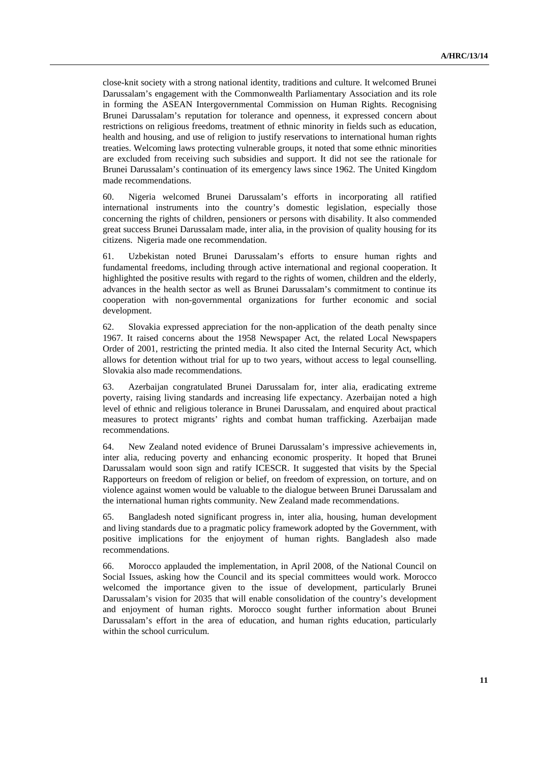close-knit society with a strong national identity, traditions and culture. It welcomed Brunei Darussalam's engagement with the Commonwealth Parliamentary Association and its role in forming the ASEAN Intergovernmental Commission on Human Rights. Recognising Brunei Darussalam's reputation for tolerance and openness, it expressed concern about restrictions on religious freedoms, treatment of ethnic minority in fields such as education, health and housing, and use of religion to justify reservations to international human rights treaties. Welcoming laws protecting vulnerable groups, it noted that some ethnic minorities are excluded from receiving such subsidies and support. It did not see the rationale for Brunei Darussalam's continuation of its emergency laws since 1962. The United Kingdom made recommendations.

60. Nigeria welcomed Brunei Darussalam's efforts in incorporating all ratified international instruments into the country's domestic legislation, especially those concerning the rights of children, pensioners or persons with disability. It also commended great success Brunei Darussalam made, inter alia, in the provision of quality housing for its citizens. Nigeria made one recommendation.

61. Uzbekistan noted Brunei Darussalam's efforts to ensure human rights and fundamental freedoms, including through active international and regional cooperation. It highlighted the positive results with regard to the rights of women, children and the elderly, advances in the health sector as well as Brunei Darussalam's commitment to continue its cooperation with non-governmental organizations for further economic and social development.

62. Slovakia expressed appreciation for the non-application of the death penalty since 1967. It raised concerns about the 1958 Newspaper Act, the related Local Newspapers Order of 2001, restricting the printed media. It also cited the Internal Security Act, which allows for detention without trial for up to two years, without access to legal counselling. Slovakia also made recommendations.

63. Azerbaijan congratulated Brunei Darussalam for, inter alia, eradicating extreme poverty, raising living standards and increasing life expectancy. Azerbaijan noted a high level of ethnic and religious tolerance in Brunei Darussalam, and enquired about practical measures to protect migrants' rights and combat human trafficking. Azerbaijan made recommendations.

64. New Zealand noted evidence of Brunei Darussalam's impressive achievements in, inter alia, reducing poverty and enhancing economic prosperity. It hoped that Brunei Darussalam would soon sign and ratify ICESCR. It suggested that visits by the Special Rapporteurs on freedom of religion or belief, on freedom of expression, on torture, and on violence against women would be valuable to the dialogue between Brunei Darussalam and the international human rights community. New Zealand made recommendations.

65. Bangladesh noted significant progress in, inter alia, housing, human development and living standards due to a pragmatic policy framework adopted by the Government, with positive implications for the enjoyment of human rights. Bangladesh also made recommendations.

66. Morocco applauded the implementation, in April 2008, of the National Council on Social Issues, asking how the Council and its special committees would work. Morocco welcomed the importance given to the issue of development, particularly Brunei Darussalam's vision for 2035 that will enable consolidation of the country's development and enjoyment of human rights. Morocco sought further information about Brunei Darussalam's effort in the area of education, and human rights education, particularly within the school curriculum.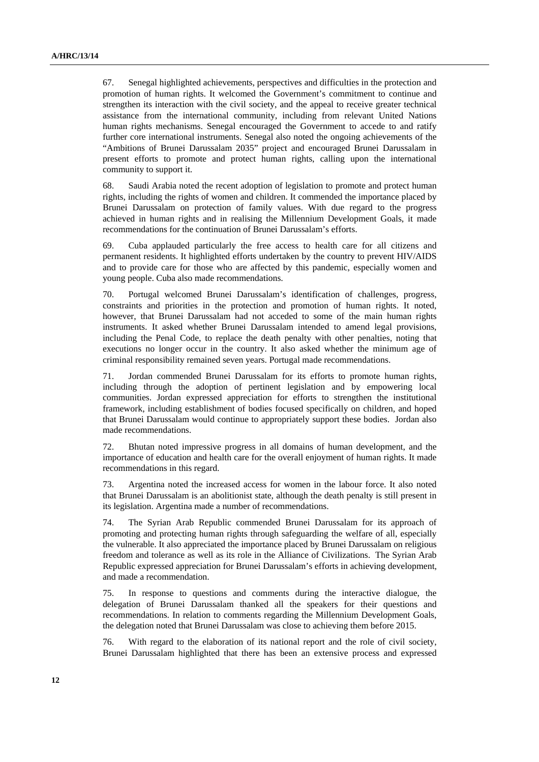67. Senegal highlighted achievements, perspectives and difficulties in the protection and promotion of human rights. It welcomed the Government's commitment to continue and strengthen its interaction with the civil society, and the appeal to receive greater technical assistance from the international community, including from relevant United Nations human rights mechanisms. Senegal encouraged the Government to accede to and ratify further core international instruments. Senegal also noted the ongoing achievements of the "Ambitions of Brunei Darussalam 2035" project and encouraged Brunei Darussalam in present efforts to promote and protect human rights, calling upon the international community to support it.

68. Saudi Arabia noted the recent adoption of legislation to promote and protect human rights, including the rights of women and children. It commended the importance placed by Brunei Darussalam on protection of family values. With due regard to the progress achieved in human rights and in realising the Millennium Development Goals, it made recommendations for the continuation of Brunei Darussalam's efforts.

69. Cuba applauded particularly the free access to health care for all citizens and permanent residents. It highlighted efforts undertaken by the country to prevent HIV/AIDS and to provide care for those who are affected by this pandemic, especially women and young people. Cuba also made recommendations.

70. Portugal welcomed Brunei Darussalam's identification of challenges, progress, constraints and priorities in the protection and promotion of human rights. It noted, however, that Brunei Darussalam had not acceded to some of the main human rights instruments. It asked whether Brunei Darussalam intended to amend legal provisions, including the Penal Code, to replace the death penalty with other penalties, noting that executions no longer occur in the country. It also asked whether the minimum age of criminal responsibility remained seven years. Portugal made recommendations.

71. Jordan commended Brunei Darussalam for its efforts to promote human rights, including through the adoption of pertinent legislation and by empowering local communities. Jordan expressed appreciation for efforts to strengthen the institutional framework, including establishment of bodies focused specifically on children, and hoped that Brunei Darussalam would continue to appropriately support these bodies. Jordan also made recommendations.

72. Bhutan noted impressive progress in all domains of human development, and the importance of education and health care for the overall enjoyment of human rights. It made recommendations in this regard.

73. Argentina noted the increased access for women in the labour force. It also noted that Brunei Darussalam is an abolitionist state, although the death penalty is still present in its legislation. Argentina made a number of recommendations.

74. The Syrian Arab Republic commended Brunei Darussalam for its approach of promoting and protecting human rights through safeguarding the welfare of all, especially the vulnerable. It also appreciated the importance placed by Brunei Darussalam on religious freedom and tolerance as well as its role in the Alliance of Civilizations. The Syrian Arab Republic expressed appreciation for Brunei Darussalam's efforts in achieving development, and made a recommendation.

75. In response to questions and comments during the interactive dialogue, the delegation of Brunei Darussalam thanked all the speakers for their questions and recommendations. In relation to comments regarding the Millennium Development Goals, the delegation noted that Brunei Darussalam was close to achieving them before 2015.

76. With regard to the elaboration of its national report and the role of civil society, Brunei Darussalam highlighted that there has been an extensive process and expressed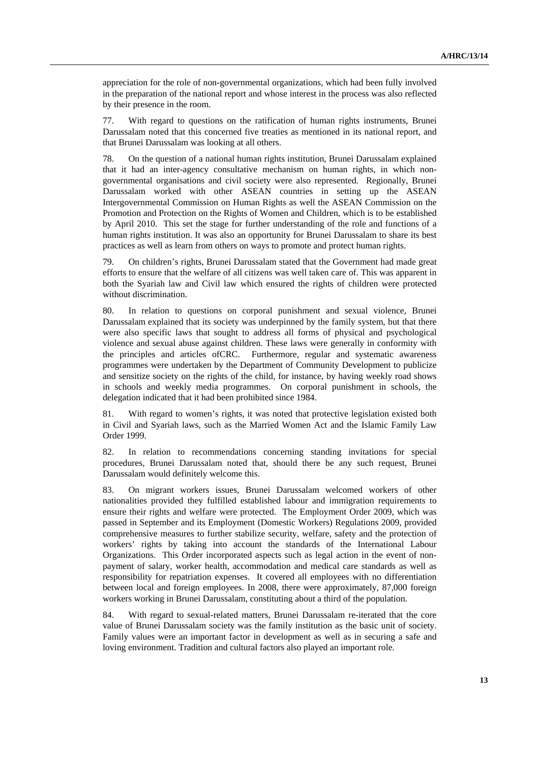appreciation for the role of non-governmental organizations, which had been fully involved in the preparation of the national report and whose interest in the process was also reflected by their presence in the room.

77. With regard to questions on the ratification of human rights instruments, Brunei Darussalam noted that this concerned five treaties as mentioned in its national report, and that Brunei Darussalam was looking at all others.

78. On the question of a national human rights institution, Brunei Darussalam explained that it had an inter-agency consultative mechanism on human rights, in which nongovernmental organisations and civil society were also represented. Regionally, Brunei Darussalam worked with other ASEAN countries in setting up the ASEAN Intergovernmental Commission on Human Rights as well the ASEAN Commission on the Promotion and Protection on the Rights of Women and Children, which is to be established by April 2010. This set the stage for further understanding of the role and functions of a human rights institution. It was also an opportunity for Brunei Darussalam to share its best practices as well as learn from others on ways to promote and protect human rights.

79. On children's rights, Brunei Darussalam stated that the Government had made great efforts to ensure that the welfare of all citizens was well taken care of. This was apparent in both the Syariah law and Civil law which ensured the rights of children were protected without discrimination.

80. In relation to questions on corporal punishment and sexual violence, Brunei Darussalam explained that its society was underpinned by the family system, but that there were also specific laws that sought to address all forms of physical and psychological violence and sexual abuse against children. These laws were generally in conformity with the principles and articles ofCRC. Furthermore, regular and systematic awareness programmes were undertaken by the Department of Community Development to publicize and sensitize society on the rights of the child, for instance, by having weekly road shows in schools and weekly media programmes. On corporal punishment in schools, the delegation indicated that it had been prohibited since 1984.

81. With regard to women's rights, it was noted that protective legislation existed both in Civil and Syariah laws, such as the Married Women Act and the Islamic Family Law Order 1999.

82. In relation to recommendations concerning standing invitations for special procedures, Brunei Darussalam noted that, should there be any such request, Brunei Darussalam would definitely welcome this.

83. On migrant workers issues, Brunei Darussalam welcomed workers of other nationalities provided they fulfilled established labour and immigration requirements to ensure their rights and welfare were protected. The Employment Order 2009, which was passed in September and its Employment (Domestic Workers) Regulations 2009, provided comprehensive measures to further stabilize security, welfare, safety and the protection of workers' rights by taking into account the standards of the International Labour Organizations. This Order incorporated aspects such as legal action in the event of nonpayment of salary, worker health, accommodation and medical care standards as well as responsibility for repatriation expenses. It covered all employees with no differentiation between local and foreign employees. In 2008, there were approximately, 87,000 foreign workers working in Brunei Darussalam, constituting about a third of the population.

84. With regard to sexual-related matters, Brunei Darussalam re-iterated that the core value of Brunei Darussalam society was the family institution as the basic unit of society. Family values were an important factor in development as well as in securing a safe and loving environment. Tradition and cultural factors also played an important role.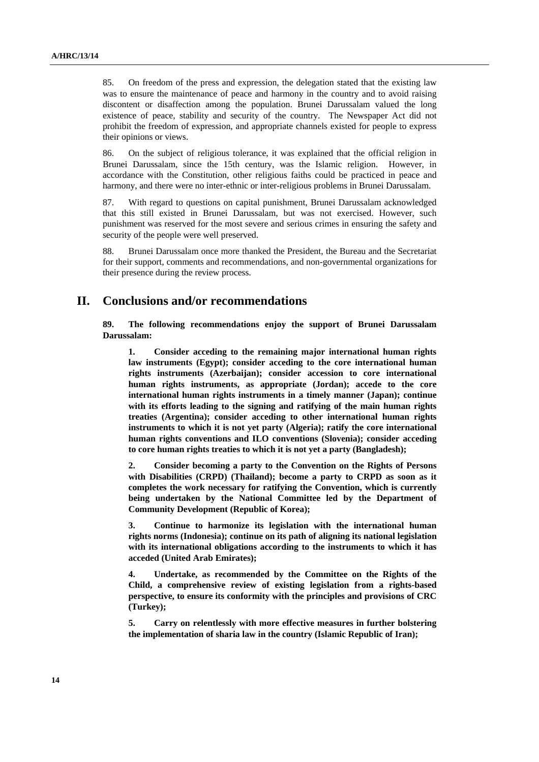85. On freedom of the press and expression, the delegation stated that the existing law was to ensure the maintenance of peace and harmony in the country and to avoid raising discontent or disaffection among the population. Brunei Darussalam valued the long existence of peace, stability and security of the country. The Newspaper Act did not prohibit the freedom of expression, and appropriate channels existed for people to express their opinions or views.

86. On the subject of religious tolerance, it was explained that the official religion in Brunei Darussalam, since the 15th century, was the Islamic religion. However, in accordance with the Constitution, other religious faiths could be practiced in peace and harmony, and there were no inter-ethnic or inter-religious problems in Brunei Darussalam.

87. With regard to questions on capital punishment, Brunei Darussalam acknowledged that this still existed in Brunei Darussalam, but was not exercised. However, such punishment was reserved for the most severe and serious crimes in ensuring the safety and security of the people were well preserved.

88. Brunei Darussalam once more thanked the President, the Bureau and the Secretariat for their support, comments and recommendations, and non-governmental organizations for their presence during the review process.

### **II. Conclusions and/or recommendations**

**89. The following recommendations enjoy the support of Brunei Darussalam Darussalam:** 

**1. Consider acceding to the remaining major international human rights law instruments (Egypt); consider acceding to the core international human rights instruments (Azerbaijan); consider accession to core international human rights instruments, as appropriate (Jordan); accede to the core international human rights instruments in a timely manner (Japan); continue with its efforts leading to the signing and ratifying of the main human rights treaties (Argentina); consider acceding to other international human rights instruments to which it is not yet party (Algeria); ratify the core international human rights conventions and ILO conventions (Slovenia); consider acceding to core human rights treaties to which it is not yet a party (Bangladesh);** 

**2. Consider becoming a party to the Convention on the Rights of Persons with Disabilities (CRPD) (Thailand); become a party to CRPD as soon as it completes the work necessary for ratifying the Convention, which is currently being undertaken by the National Committee led by the Department of Community Development (Republic of Korea);** 

**3. Continue to harmonize its legislation with the international human rights norms (Indonesia); continue on its path of aligning its national legislation with its international obligations according to the instruments to which it has acceded (United Arab Emirates);** 

**4. Undertake, as recommended by the Committee on the Rights of the Child, a comprehensive review of existing legislation from a rights-based perspective, to ensure its conformity with the principles and provisions of CRC (Turkey);** 

**5. Carry on relentlessly with more effective measures in further bolstering the implementation of sharia law in the country (Islamic Republic of Iran);**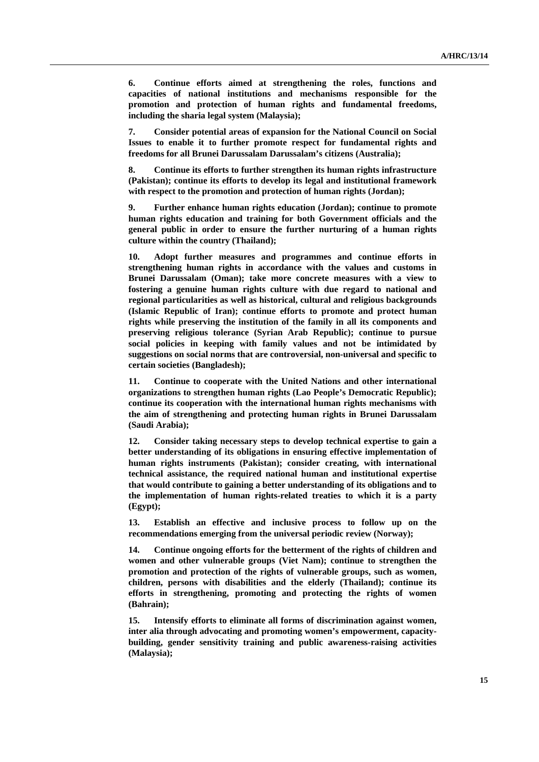**6. Continue efforts aimed at strengthening the roles, functions and capacities of national institutions and mechanisms responsible for the promotion and protection of human rights and fundamental freedoms, including the sharia legal system (Malaysia);** 

**7. Consider potential areas of expansion for the National Council on Social Issues to enable it to further promote respect for fundamental rights and freedoms for all Brunei Darussalam Darussalam's citizens (Australia);** 

**8. Continue its efforts to further strengthen its human rights infrastructure (Pakistan); continue its efforts to develop its legal and institutional framework with respect to the promotion and protection of human rights (Jordan);** 

**9. Further enhance human rights education (Jordan); continue to promote human rights education and training for both Government officials and the general public in order to ensure the further nurturing of a human rights culture within the country (Thailand);** 

**10. Adopt further measures and programmes and continue efforts in strengthening human rights in accordance with the values and customs in Brunei Darussalam (Oman); take more concrete measures with a view to fostering a genuine human rights culture with due regard to national and regional particularities as well as historical, cultural and religious backgrounds (Islamic Republic of Iran); continue efforts to promote and protect human rights while preserving the institution of the family in all its components and preserving religious tolerance (Syrian Arab Republic); continue to pursue social policies in keeping with family values and not be intimidated by suggestions on social norms that are controversial, non-universal and specific to certain societies (Bangladesh);** 

**11. Continue to cooperate with the United Nations and other international organizations to strengthen human rights (Lao People's Democratic Republic); continue its cooperation with the international human rights mechanisms with the aim of strengthening and protecting human rights in Brunei Darussalam (Saudi Arabia);** 

**12. Consider taking necessary steps to develop technical expertise to gain a better understanding of its obligations in ensuring effective implementation of human rights instruments (Pakistan); consider creating, with international technical assistance, the required national human and institutional expertise that would contribute to gaining a better understanding of its obligations and to the implementation of human rights-related treaties to which it is a party (Egypt);** 

**13. Establish an effective and inclusive process to follow up on the recommendations emerging from the universal periodic review (Norway);** 

**14. Continue ongoing efforts for the betterment of the rights of children and women and other vulnerable groups (Viet Nam); continue to strengthen the promotion and protection of the rights of vulnerable groups, such as women, children, persons with disabilities and the elderly (Thailand); continue its efforts in strengthening, promoting and protecting the rights of women (Bahrain);** 

**15. Intensify efforts to eliminate all forms of discrimination against women, inter alia through advocating and promoting women's empowerment, capacitybuilding, gender sensitivity training and public awareness-raising activities (Malaysia);**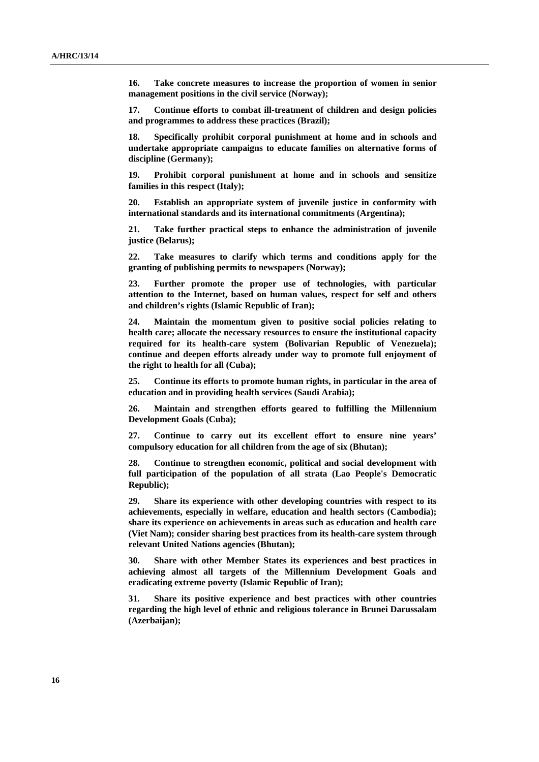**16. Take concrete measures to increase the proportion of women in senior management positions in the civil service (Norway);** 

**17. Continue efforts to combat ill-treatment of children and design policies and programmes to address these practices (Brazil);** 

**18. Specifically prohibit corporal punishment at home and in schools and undertake appropriate campaigns to educate families on alternative forms of discipline (Germany);** 

**19. Prohibit corporal punishment at home and in schools and sensitize families in this respect (Italy);** 

**20. Establish an appropriate system of juvenile justice in conformity with international standards and its international commitments (Argentina);** 

**21. Take further practical steps to enhance the administration of juvenile justice (Belarus);** 

**22. Take measures to clarify which terms and conditions apply for the granting of publishing permits to newspapers (Norway);** 

**23. Further promote the proper use of technologies, with particular attention to the Internet, based on human values, respect for self and others and children's rights (Islamic Republic of Iran);** 

**24. Maintain the momentum given to positive social policies relating to health care; allocate the necessary resources to ensure the institutional capacity required for its health-care system (Bolivarian Republic of Venezuela); continue and deepen efforts already under way to promote full enjoyment of the right to health for all (Cuba);** 

**25. Continue its efforts to promote human rights, in particular in the area of education and in providing health services (Saudi Arabia);** 

**26. Maintain and strengthen efforts geared to fulfilling the Millennium Development Goals (Cuba);** 

**27. Continue to carry out its excellent effort to ensure nine years' compulsory education for all children from the age of six (Bhutan);** 

**28. Continue to strengthen economic, political and social development with full participation of the population of all strata (Lao People's Democratic Republic);** 

**29. Share its experience with other developing countries with respect to its achievements, especially in welfare, education and health sectors (Cambodia); share its experience on achievements in areas such as education and health care (Viet Nam); consider sharing best practices from its health-care system through relevant United Nations agencies (Bhutan);** 

**30. Share with other Member States its experiences and best practices in achieving almost all targets of the Millennium Development Goals and eradicating extreme poverty (Islamic Republic of Iran);** 

**31. Share its positive experience and best practices with other countries regarding the high level of ethnic and religious tolerance in Brunei Darussalam (Azerbaijan);**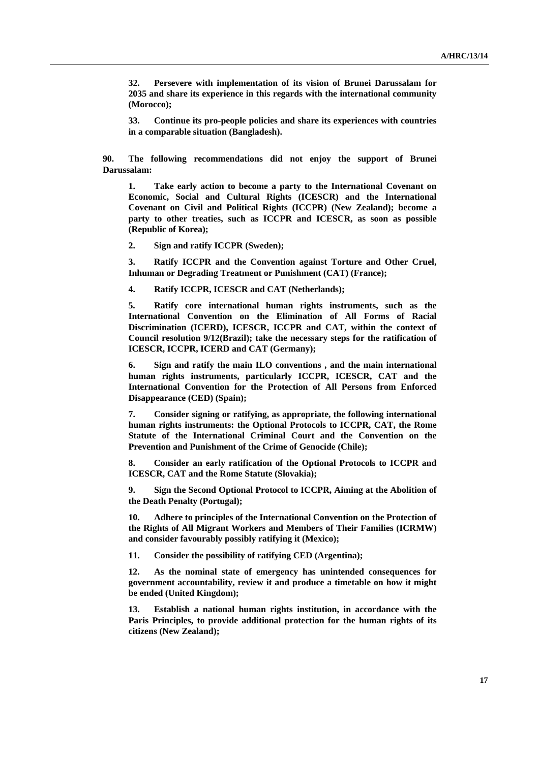**32. Persevere with implementation of its vision of Brunei Darussalam for 2035 and share its experience in this regards with the international community (Morocco);** 

**33. Continue its pro-people policies and share its experiences with countries in a comparable situation (Bangladesh).** 

**90. The following recommendations did not enjoy the support of Brunei Darussalam:**

**1. Take early action to become a party to the International Covenant on Economic, Social and Cultural Rights (ICESCR) and the International Covenant on Civil and Political Rights (ICCPR) (New Zealand); become a party to other treaties, such as ICCPR and ICESCR, as soon as possible (Republic of Korea);** 

**2. Sign and ratify ICCPR (Sweden);** 

**3. Ratify ICCPR and the Convention against Torture and Other Cruel, Inhuman or Degrading Treatment or Punishment (CAT) (France);** 

**4. Ratify ICCPR, ICESCR and CAT (Netherlands);** 

**5. Ratify core international human rights instruments, such as the International Convention on the Elimination of All Forms of Racial Discrimination (ICERD), ICESCR, ICCPR and CAT, within the context of Council resolution 9/12(Brazil); take the necessary steps for the ratification of ICESCR, ICCPR, ICERD and CAT (Germany);** 

**6. Sign and ratify the main ILO conventions , and the main international human rights instruments, particularly ICCPR, ICESCR, CAT and the International Convention for the Protection of All Persons from Enforced Disappearance (CED) (Spain);** 

**7. Consider signing or ratifying, as appropriate, the following international human rights instruments: the Optional Protocols to ICCPR, CAT, the Rome Statute of the International Criminal Court and the Convention on the Prevention and Punishment of the Crime of Genocide (Chile);** 

**8. Consider an early ratification of the Optional Protocols to ICCPR and ICESCR, CAT and the Rome Statute (Slovakia);** 

**9. Sign the Second Optional Protocol to ICCPR, Aiming at the Abolition of the Death Penalty (Portugal);** 

**10. Adhere to principles of the International Convention on the Protection of the Rights of All Migrant Workers and Members of Their Families (ICRMW) and consider favourably possibly ratifying it (Mexico);** 

**11. Consider the possibility of ratifying CED (Argentina);** 

**12. As the nominal state of emergency has unintended consequences for government accountability, review it and produce a timetable on how it might be ended (United Kingdom);** 

**13. Establish a national human rights institution, in accordance with the Paris Principles, to provide additional protection for the human rights of its citizens (New Zealand);**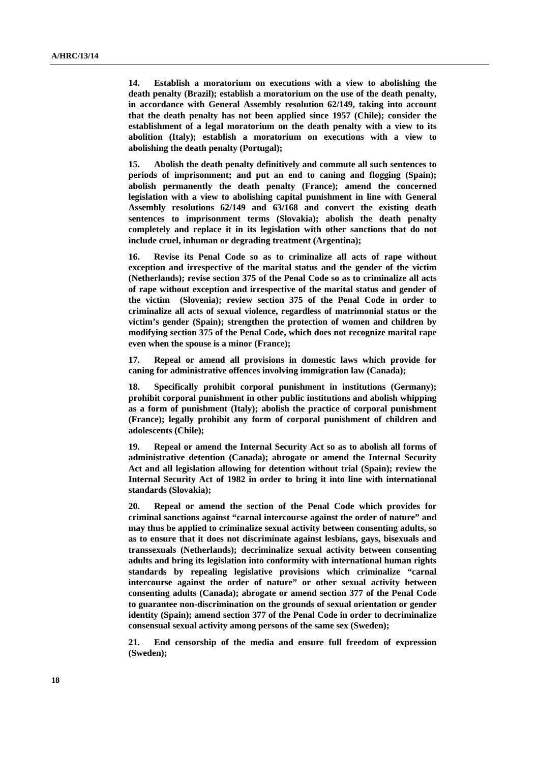**14. Establish a moratorium on executions with a view to abolishing the death penalty (Brazil); establish a moratorium on the use of the death penalty, in accordance with General Assembly resolution 62/149, taking into account that the death penalty has not been applied since 1957 (Chile); consider the establishment of a legal moratorium on the death penalty with a view to its abolition (Italy); establish a moratorium on executions with a view to abolishing the death penalty (Portugal);** 

**15. Abolish the death penalty definitively and commute all such sentences to periods of imprisonment; and put an end to caning and flogging (Spain); abolish permanently the death penalty (France); amend the concerned legislation with a view to abolishing capital punishment in line with General Assembly resolutions 62/149 and 63/168 and convert the existing death sentences to imprisonment terms (Slovakia); abolish the death penalty completely and replace it in its legislation with other sanctions that do not include cruel, inhuman or degrading treatment (Argentina);** 

**16. Revise its Penal Code so as to criminalize all acts of rape without exception and irrespective of the marital status and the gender of the victim (Netherlands); revise section 375 of the Penal Code so as to criminalize all acts of rape without exception and irrespective of the marital status and gender of the victim (Slovenia); review section 375 of the Penal Code in order to criminalize all acts of sexual violence, regardless of matrimonial status or the victim's gender (Spain); strengthen the protection of women and children by modifying section 375 of the Penal Code, which does not recognize marital rape even when the spouse is a minor (France);** 

**17. Repeal or amend all provisions in domestic laws which provide for caning for administrative offences involving immigration law (Canada);** 

**18. Specifically prohibit corporal punishment in institutions (Germany); prohibit corporal punishment in other public institutions and abolish whipping as a form of punishment (Italy); abolish the practice of corporal punishment (France); legally prohibit any form of corporal punishment of children and adolescents (Chile);** 

**19. Repeal or amend the Internal Security Act so as to abolish all forms of administrative detention (Canada); abrogate or amend the Internal Security Act and all legislation allowing for detention without trial (Spain); review the Internal Security Act of 1982 in order to bring it into line with international standards (Slovakia);** 

**20. Repeal or amend the section of the Penal Code which provides for criminal sanctions against "carnal intercourse against the order of nature" and may thus be applied to criminalize sexual activity between consenting adults, so as to ensure that it does not discriminate against lesbians, gays, bisexuals and transsexuals (Netherlands); decriminalize sexual activity between consenting adults and bring its legislation into conformity with international human rights standards by repealing legislative provisions which criminalize "carnal intercourse against the order of nature" or other sexual activity between consenting adults (Canada); abrogate or amend section 377 of the Penal Code to guarantee non-discrimination on the grounds of sexual orientation or gender identity (Spain); amend section 377 of the Penal Code in order to decriminalize consensual sexual activity among persons of the same sex (Sweden);** 

**21. End censorship of the media and ensure full freedom of expression (Sweden);**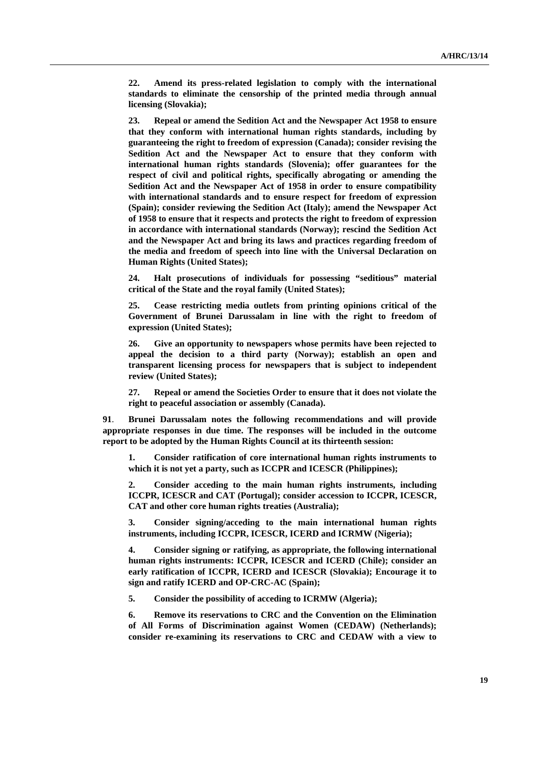**22. Amend its press-related legislation to comply with the international standards to eliminate the censorship of the printed media through annual licensing (Slovakia);** 

**23. Repeal or amend the Sedition Act and the Newspaper Act 1958 to ensure that they conform with international human rights standards, including by guaranteeing the right to freedom of expression (Canada); consider revising the Sedition Act and the Newspaper Act to ensure that they conform with international human rights standards (Slovenia); offer guarantees for the respect of civil and political rights, specifically abrogating or amending the Sedition Act and the Newspaper Act of 1958 in order to ensure compatibility with international standards and to ensure respect for freedom of expression (Spain); consider reviewing the Sedition Act (Italy); amend the Newspaper Act of 1958 to ensure that it respects and protects the right to freedom of expression in accordance with international standards (Norway); rescind the Sedition Act and the Newspaper Act and bring its laws and practices regarding freedom of the media and freedom of speech into line with the Universal Declaration on Human Rights (United States);** 

**24. Halt prosecutions of individuals for possessing "seditious" material critical of the State and the royal family (United States);** 

**25. Cease restricting media outlets from printing opinions critical of the Government of Brunei Darussalam in line with the right to freedom of expression (United States);** 

**26. Give an opportunity to newspapers whose permits have been rejected to appeal the decision to a third party (Norway); establish an open and transparent licensing process for newspapers that is subject to independent review (United States);** 

**27. Repeal or amend the Societies Order to ensure that it does not violate the right to peaceful association or assembly (Canada).** 

**91**. **Brunei Darussalam notes the following recommendations and will provide appropriate responses in due time. The responses will be included in the outcome report to be adopted by the Human Rights Council at its thirteenth session:** 

**1. Consider ratification of core international human rights instruments to which it is not yet a party, such as ICCPR and ICESCR (Philippines);** 

**2. Consider acceding to the main human rights instruments, including ICCPR, ICESCR and CAT (Portugal); consider accession to ICCPR, ICESCR, CAT and other core human rights treaties (Australia);** 

**3. Consider signing/acceding to the main international human rights instruments, including ICCPR, ICESCR, ICERD and ICRMW (Nigeria);** 

**4. Consider signing or ratifying, as appropriate, the following international human rights instruments: ICCPR, ICESCR and ICERD (Chile); consider an early ratification of ICCPR, ICERD and ICESCR (Slovakia); Encourage it to sign and ratify ICERD and OP-CRC-AC (Spain);** 

**5. Consider the possibility of acceding to ICRMW (Algeria);** 

**6. Remove its reservations to CRC and the Convention on the Elimination of All Forms of Discrimination against Women (CEDAW) (Netherlands); consider re-examining its reservations to CRC and CEDAW with a view to**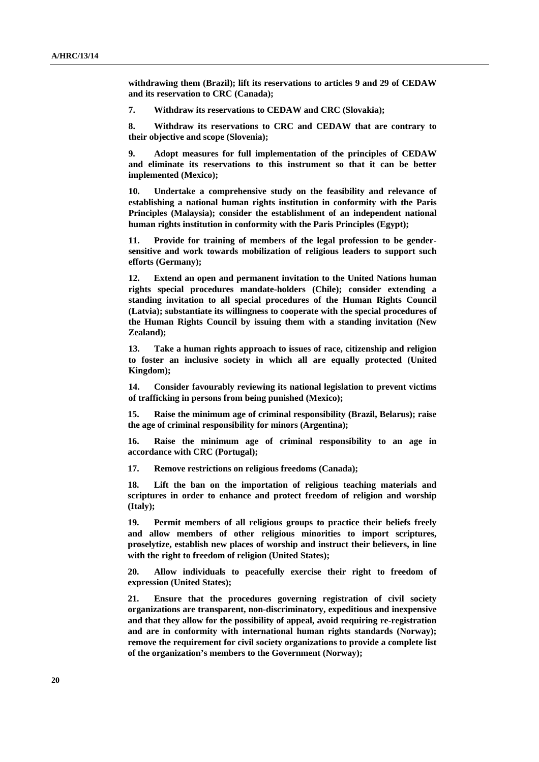**withdrawing them (Brazil); lift its reservations to articles 9 and 29 of CEDAW and its reservation to CRC (Canada);** 

**7. Withdraw its reservations to CEDAW and CRC (Slovakia);** 

**8. Withdraw its reservations to CRC and CEDAW that are contrary to their objective and scope (Slovenia);** 

**9. Adopt measures for full implementation of the principles of CEDAW and eliminate its reservations to this instrument so that it can be better implemented (Mexico);** 

**10. Undertake a comprehensive study on the feasibility and relevance of establishing a national human rights institution in conformity with the Paris Principles (Malaysia); consider the establishment of an independent national human rights institution in conformity with the Paris Principles (Egypt);** 

**11. Provide for training of members of the legal profession to be gendersensitive and work towards mobilization of religious leaders to support such efforts (Germany);** 

**12. Extend an open and permanent invitation to the United Nations human rights special procedures mandate-holders (Chile); consider extending a standing invitation to all special procedures of the Human Rights Council (Latvia); substantiate its willingness to cooperate with the special procedures of the Human Rights Council by issuing them with a standing invitation (New Zealand);** 

**13. Take a human rights approach to issues of race, citizenship and religion to foster an inclusive society in which all are equally protected (United Kingdom);** 

**14. Consider favourably reviewing its national legislation to prevent victims of trafficking in persons from being punished (Mexico);** 

**15. Raise the minimum age of criminal responsibility (Brazil, Belarus); raise the age of criminal responsibility for minors (Argentina);** 

**16. Raise the minimum age of criminal responsibility to an age in accordance with CRC (Portugal);** 

**17. Remove restrictions on religious freedoms (Canada);** 

**18. Lift the ban on the importation of religious teaching materials and scriptures in order to enhance and protect freedom of religion and worship (Italy);** 

**19. Permit members of all religious groups to practice their beliefs freely and allow members of other religious minorities to import scriptures, proselytize, establish new places of worship and instruct their believers, in line with the right to freedom of religion (United States);** 

**20. Allow individuals to peacefully exercise their right to freedom of expression (United States);** 

**21. Ensure that the procedures governing registration of civil society organizations are transparent, non-discriminatory, expeditious and inexpensive and that they allow for the possibility of appeal, avoid requiring re-registration and are in conformity with international human rights standards (Norway); remove the requirement for civil society organizations to provide a complete list of the organization's members to the Government (Norway);**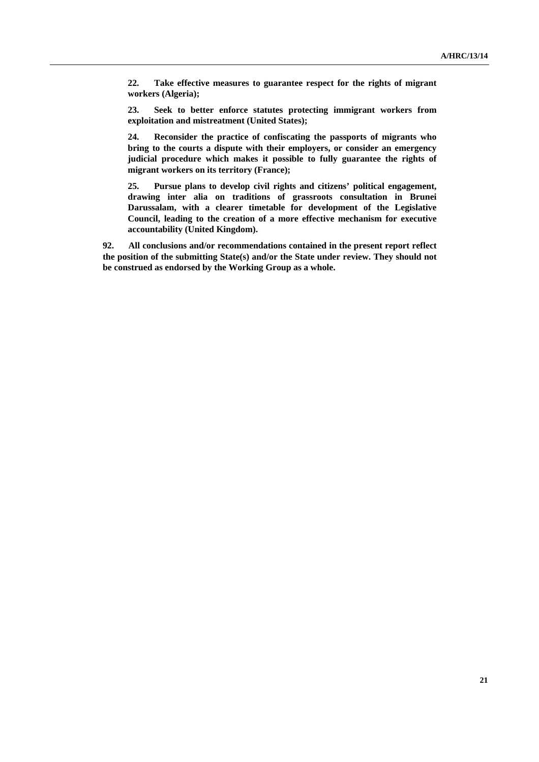**22. Take effective measures to guarantee respect for the rights of migrant workers (Algeria);** 

**23. Seek to better enforce statutes protecting immigrant workers from exploitation and mistreatment (United States);** 

**24. Reconsider the practice of confiscating the passports of migrants who bring to the courts a dispute with their employers, or consider an emergency judicial procedure which makes it possible to fully guarantee the rights of migrant workers on its territory (France);** 

**25. Pursue plans to develop civil rights and citizens' political engagement, drawing inter alia on traditions of grassroots consultation in Brunei Darussalam, with a clearer timetable for development of the Legislative Council, leading to the creation of a more effective mechanism for executive accountability (United Kingdom).** 

**92. All conclusions and/or recommendations contained in the present report reflect the position of the submitting State(s) and/or the State under review. They should not be construed as endorsed by the Working Group as a whole.**